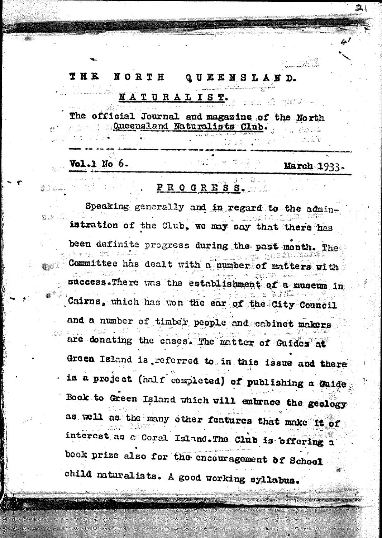### THE **NORTH** QUEENSLAND. NATURALIST.

The official Journal and magazine of the North **Club.** Queensland Naturalists Club.

# $Vol.1$  No  $6.$

400A

### March 1933.

in and the start of the second

 $21$ 

## PROGRESS.

Speaking generally and in regard to the administration of the Club, we may say that there has been definite progress during the past month. The a ang Committee has dealt with a number of matters with success. There was the establishment of a museum in s e Bidî Cairns, which has won the ear of the City Council and a number of timber people and cabinet makers are donating the cases. The matter of Guides at Green Island is referred to in this issue and there is a project (half completed) of publishing a Guide Book to Green Island which will embrace the geology as well as the many other features that make it of interest as a Coral Island. The Club is offering a book prize also for the encouragement of School child naturalists. A good working syllabus.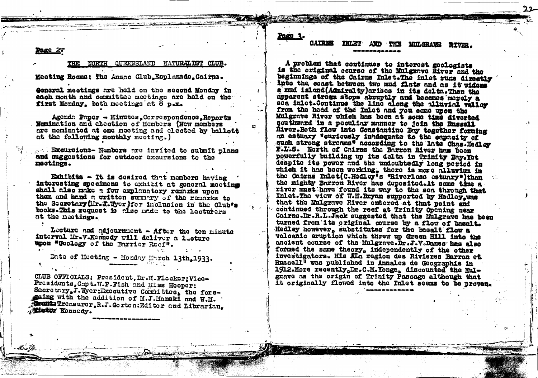Page 27

### NORTH QUEENSLAND NATURALIST CLUB.

Meeting Rooms: The Anzac Club, Esplanade, Cairns.

Goneral meetings are held on the second Monday in each month and committee meetings are held on the first Monday. both meetings at  $\bar{8}$  p.m.

Agenda Paper - Minutes, Correspondence, Reports Nemination and cleotion of Members (New members are nominated at one meeting and cleeted by ballott at the following monthly meeting.)

... Excursions- Members are invited to submit plans and suggestions for outdoor excursions to the moctings.

Exhibits - It is desired that members having interesting specimens to exhibit at general meeting shall also make a few explanatory remarks upon them and hand a written summary of the remarks to the Secretary (Mr. I. Wyer ) for inclusion in the Club's books. This request is rise made to the lecturers at the meetings.

Lecture and adjournment - After the ten minute interval Hr.V.Kennedy will deliver a lecture upon "Geology of the Barrier Reef".

Date of Heeting - Honday Harch 13th, 1933. 아이가 얼마나

CLUB OFFICIALS: President. Dr.H.Flecker; Vice-Presidents. Copt. W.P. Fish and Hiss Hooper: Sacretary J. Wyer: Executive Committee. the foregoing with the addition of M.J.Manski and W.M. **The Treasurer, R.J. Gorton: Editor and Librarian, Meter Konnedy.** 

Page 3.

€.

#### **CATREE MILGRAVE RIVER. TNLET** AND **THR**

A problem that continues to interest geologists is the original course of the Mulgrave River and the beginnings of the Cairns Inlet. The inlet runs directly into the coast between two mud flats and as it widons a mud island (Admiralty) arises in its delta. Then the apparent stream stops abruptly and becomes morely a sea inlet. Continue the line along the alluvial valley from the head of the Inlet and you come upon the Mulgrave River which has been at some time diverted southward in a poculiar manner to join the Russell River. Both flow into Constantine Bay together forming an estuary "curiously inadequate to the eapneity of such strong streams" according to the 1ato Chas. Hedley F.L.S. North of Cairns the Barron River has been powerfully building up its delta in Trinity Bay. Yet despite its power and the undoubtedly long period in which it has been working, there is more alluvium in the Cairns Inlet (C.Hedloy's "Riverless estuary") than the mighty Barron River has deposited. At some time a river must have found its way to the sea through that Inlet. The view of W.H. Bryan supported by Hedley was that the Mulgrave River entered at that point and continued through the reef at Trinity Opening near Chirns.Dr.R.L.Jack suggested that the Mulgrave has been turned from its original course by a flow of basalt. Hedley however, substitutes for the basalt flow a volcanic eruption which threw up Green Hill into the ancient course of the Mulgrave. Dr.J.V.Danes has also formed the same theory, independently of the other investigators. His Kin region des Rivieres Barron et Russell<sup>1</sup> was published in Annales de Geographie in 1912-More recently.Dr.C.M.Yonge, discounted the Mulgrave as the origin of Trinity Passage although that it originally flowed into the Inlet seems to be proven.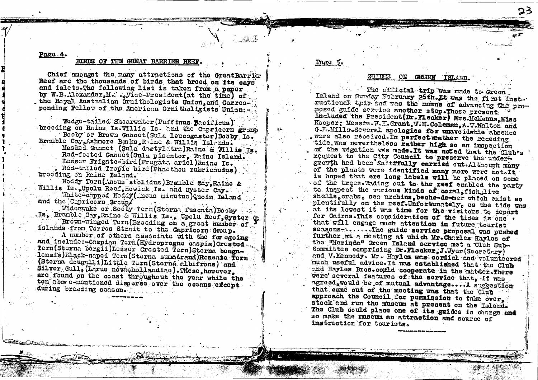### Page 4.

#### BIRDS OF THE GREAT BARRIER REE

Chief amongst the many attractions of the GreatBarrier Reef are the thousands of birds that breed on its cavs and islets. The following list is taken from a paper by W.B. loxander.M. ... Vice-President (at the time) of the Roval Australian Ornithologists Union.and Corresponding Fellow of the American Ornitholigists Union:-

Wedge-tailed Shearwater (Puffinus Bacificus). broeding on Rains Is. Willis Is. and the Capricorn gramb Booby or Brown Gannet (Sula leucogaster)Booby Is. Bramble Cay, Ashmore Benks, Raine & Willis Islands.

Masked Gannet (Sula dactylatra)Raine & Willis Is. Red-footed Gannet (Sula piscator. Raine Island. Lesser Frigate-bird (Fregate ariel) Raine Is. Red-tailed Tropic bird (Phaethon rubricaudus) breeding on Raine Baland.

Noddy Tern (incus stolidus) Branble Cay, Raine & Willis Is. Upolu Reef. Howick Is. and Oyster Cay.

White-capped Noddy ( nous minutus ) Quoin Island and the Cepricorn Group/

Widecwake or Sooty Tern (Sterna fuscata) Booby Is, Branble Cay, Raine & Willis Is., Upolu Reef, Oyster C Brown-winged Tern (Breeding on a great number of islands from Tarres Strait to the Capricorn Group.

A number of others associate with the foregoing and include:-Caspian Tern (Hydroprogne caspia) Crested. Tern (Sterna bergii) Lesser Crested Tern) Sterna benga-Ionsis)Elack-naped Tern(Sterna sunatrana)Roseare Tern (Sterna dougalli)Little Tern (Sterna albifrons) and Silver Gull, (Larus novachollandiae). These howcver. are found on the coast throughout the year while the ten above-nentioned disperse over the oceans except. during broeding soason.

### ON CREEN ISLAND.

The official trip was made to Green Island on Sunday February 26th.It was the first insta ructional trip and was the moans of advancing the pronosed guide service another step.Those present included the President (Dr.Flecker) Mrs.McManus, Miss Hooper: Messrs.W.H.Grant, W.H.Coleman, A.W.Halton and G.L.Mills.Several apologies for unavoidable absence were also received. In perfect wather the receding tide was nevertheless rather high so an inspection of the vegation was made. It was noted that the Club's request to the City Council to preserve the undergrowth had been faithfully carried out Although many of the plants were identified many more were not. It is hoped that ere long labels will be placed on some of the trees. Wading out to the reef enabled the party to inspect the various kinds of coral fish, live shells crabs. sea urchins beche-de-mer which exist so plentifully on the reef. Unfortunately. as the tide was at its lowest it was time for the visitors to depart for Cairns. This consideration of the tides is one . that will engage much attention in future tourist seasons ......The guide service proposal was pushed further at a meeting at which Mr. Charles Havles of the "Merinda" Green Island service met a Club Sub-Committee comprising Dr.Flecker.J.Wyer(Secretary) and V.Kennedy. Mr. Hayles was cordial and volunteered much useful advice. It was established that the Club and Hayles Bros.comLd cooperate in the matter. There were several features of the service that, it was agreed, would be of mutual advantage....A suggestion that came out of the meeting was that the Club approach the Council for permission to take over. stock and run the museum at present on the Island. The Club could place one of its guides in charge and so make the museum an attraction and source of instruction for tourists.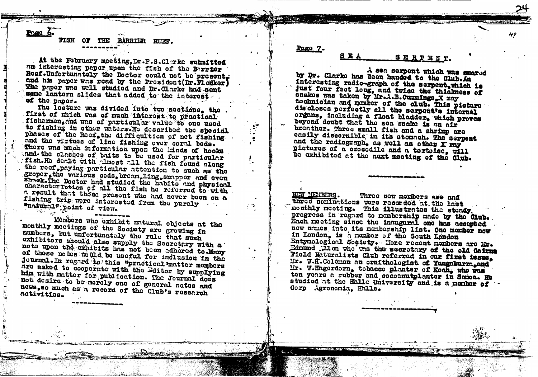Paga 6.

BARRIER REEF.

### At the February meeting, Dr.P.S.Cl.Tke submitted an interesting paper upon the fish of the Beriar Reef. Unfortunately the Doctor could not be present. and his paper was read by the President (Dr. Flenker) The paper was well studied and Dr. Clarke had sent some lantern slides that added to the interest of the paper.

The lecture was divided into two sections, the first of which was of much interest to practical fishermen, and was of particular value to one used to fishing in other waters. He described the special phases of the Reef. the difficulties of net fishing. and the virtues of line fishing over coral beds. There was much information upon the kinds of hooks and the classes of baits to be used for particular fish. He dealt with almost all the fish found along the reef, paying particular attention to such as the groper, the various cods, broam, ling, snapper and even Sheek. The Doctor had studied the habits and physical characteristics of all the fish he referred to with. a result that those present who had never been on a fishing trip were interested from the purely "natural" point of view.

Members who exhibit natural objects at the monthly meetings of the Society are growing in numbers, but unfortunately the rule that such exhibitors should also supply the Secretary with a note upon the exhibits has not been adhered to Many of these notes would be useful for inclusion in the Journal. In regard to this "practical"matter members are asked to cooperate with the Editor by supplying him with matter for publication. The Journal does not desire to be merely one of general notes and news, so much as a record of the Club's research activities.

Page  $7 -$ 

### **SEA** SERPENT.

47

A sea serpent which was snared by Dr. Clarke has been handed to the Club.An interesting radio-graph of the serpent, which is just four foot long, and twice the thickness of snakes was taken by Mr.A.B.Cummings.X ray tochnician and mamber of the club. This picture discloses perfectly all the serpent's internal organs, including a float bladder, which proves beyond doubt that the sea snake is an air breather. Three small fish and a shrimp are easily discernible in its stomach. The serpent and the radiograph, as well as other X ray pictures of a crocodile and a tortoise, will be exhibited at the next meeting of the Club.

**NEW METRERS.** Three new members are and three nominations were recorded at the last monthly meeting. This illustrates the steady progress in regard to nembership made by the Club. Each meeting since the indugural one has accepted now names into its membership list. One member now in London. is a member of the South London Entynological Society. Here recent nonbers are Mr. Edmund .11 on who was the secretary of the old Cairms Field Maturalists Club referred in our first issue. Mr. W.H.Coleman an ornithologist of Yungaburn.and IIr. W.Hagerdorn, tobacco planter of Koah, who was ten years a rubber and cocoanutplanter in Somon. He studied at the Halle University and is a member of Corp Agronomia, Halle.